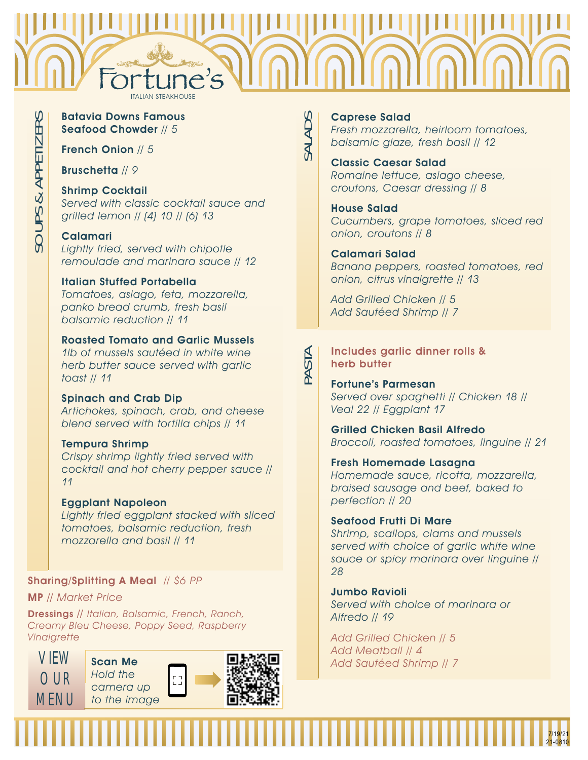

SALADS

PASTA

### Batavia Downs Famous Seafood Chowder // 5

French Onion // 5

Bruschetta // 9

# Shrimp Cocktail

Served with classic cocktail sauce and grilled lemon // (4) 10 // (6) 13

# Calamari

Lightly fried, served with chipotle remoulade and marinara sauce // 12

## Italian Stuffed Portabella

Tomatoes, asiago, feta, mozzarella, panko bread crumb, fresh basil balsamic reduction // 11

# Roasted Tomato and Garlic Mussels

1lb of mussels sautéed in white wine herb butter sauce served with garlic toast // 11

### Spinach and Crab Dip

Artichokes, spinach, crab, and cheese blend served with tortilla chips // 11

### Tempura Shrimp

Crispy shrimp lightly fried served with cocktail and hot cherry pepper sauce // 11

### Eggplant Napoleon

Lightly fried eggplant stacked with sliced tomatoes, balsamic reduction, fresh mozzarella and basil // 11

# Sharing/Splitting A Meal // \$6 PP

MP // Market Price

Dressings // Italian, Balsamic, French, Ranch, Creamy Bleu Cheese, Poppy Seed, Raspberry **Vinaigrette** 



### Caprese Salad

Fresh mozzarella, heirloom tomatoes, balsamic glaze, fresh basil // 12

### Classic Caesar Salad Romaine lettuce, asiago cheese, croutons, Caesar dressing // 8

### House Salad

Cucumbers, grape tomatoes, sliced red onion, croutons // 8

### Calamari Salad

Banana peppers, roasted tomatoes, red onion, citrus vinaigrette // 13

Add Grilled Chicken // 5 Add Sautéed Shrimp // 7

### Includes garlic dinner rolls & herb butter

Fortune's Parmesan Served over spaghetti // Chicken 18 // Veal 22 // Eggplant 17

Grilled Chicken Basil Alfredo Broccoli, roasted tomatoes, linguine // 21

Fresh Homemade Lasagna Homemade sauce, ricotta, mozzarella, braised sausage and beef, baked to perfection // 20

### Seafood Frutti Di Mare

Shrimp, scallops, clams and mussels served with choice of garlic white wine sauce or spicy marinara over linguine // 28

> 7/19/21 21-0810

Jumbo Ravioli Served with choice of marinara or Alfredo // 19

Add Grilled Chicken // 5 Add Meatball // 4